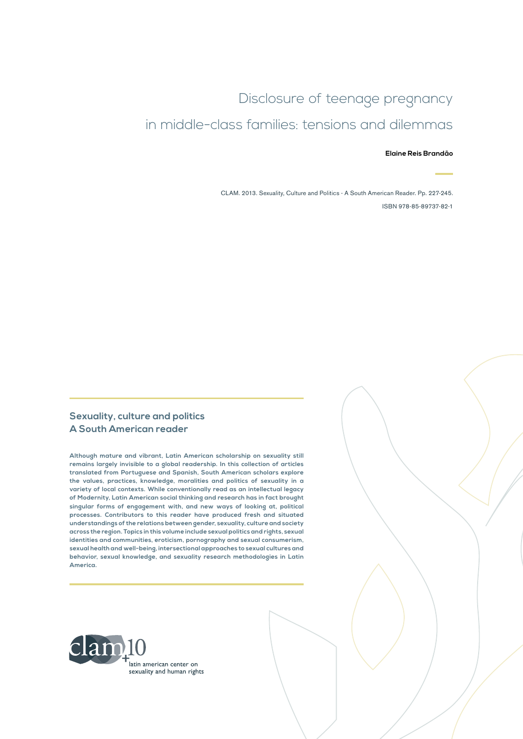# Disclosure of teenage pregnancy in middle-class families: tensions and dilemmas

#### **Elaine Reis Brandão**

CLAM. 2013. Sexuality, Culture and Politics - A South American Reader. Pp. 227-245. ISBN 978-85-89737-82-1

#### **Sexuality, culture and politics A South American reader**

**Although mature and vibrant, Latin American scholarship on sexuality still remains largely invisible to a global readership. In this collection of articles translated from Portuguese and Spanish, South American scholars explore the values, practices, knowledge, moralities and politics of sexuality in a variety of local contexts. While conventionally read as an intellectual legacy of Modernity, Latin American social thinking and research has in fact brought singular forms of engagement with, and new ways of looking at, political processes. Contributors to this reader have produced fresh and situated understandings of the relations between gender, sexuality, culture and society across the region. Topics in this volume include sexual politics and rights, sexual identities and communities, eroticism, pornography and sexual consumerism, sexual health and well-being, intersectional approaches to sexual cultures and behavior, sexual knowledge, and sexuality research methodologies in Latin America.**

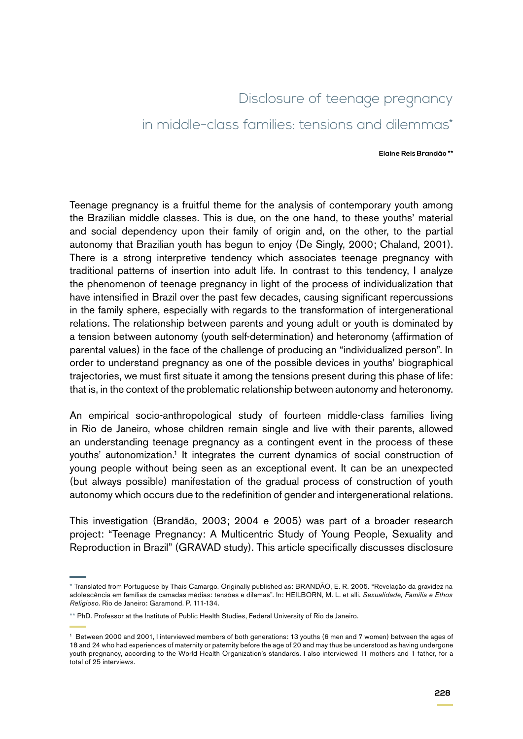## Disclosure of teenage pregnancy

### in middle-class families: tensions and dilemmas\*

#### **Elaine Reis Brandão \*\***

Teenage pregnancy is a fruitful theme for the analysis of contemporary youth among the Brazilian middle classes. This is due, on the one hand, to these youths' material and social dependency upon their family of origin and, on the other, to the partial autonomy that Brazilian youth has begun to enjoy (De Singly, 2000; Chaland, 2001). There is a strong interpretive tendency which associates teenage pregnancy with traditional patterns of insertion into adult life. In contrast to this tendency, I analyze the phenomenon of teenage pregnancy in light of the process of individualization that have intensified in Brazil over the past few decades, causing significant repercussions in the family sphere, especially with regards to the transformation of intergenerational relations. The relationship between parents and young adult or youth is dominated by a tension between autonomy (youth self-determination) and heteronomy (affirmation of parental values) in the face of the challenge of producing an "individualized person". In order to understand pregnancy as one of the possible devices in youths' biographical trajectories, we must first situate it among the tensions present during this phase of life: that is, in the context of the problematic relationship between autonomy and heteronomy.

An empirical socio-anthropological study of fourteen middle-class families living in Rio de Janeiro, whose children remain single and live with their parents, allowed an understanding teenage pregnancy as a contingent event in the process of these youths' autonomization.<sup>1</sup> It integrates the current dynamics of social construction of young people without being seen as an exceptional event. It can be an unexpected (but always possible) manifestation of the gradual process of construction of youth autonomy which occurs due to the redefinition of gender and intergenerational relations.

This investigation (Brandão, 2003; 2004 e 2005) was part of a broader research project: "Teenage Pregnancy: A Multicentric Study of Young People, Sexuality and Reproduction in Brazil" (GRAVAD study). This article specifically discusses disclosure

<sup>\*</sup> Translated from Portuguese by Thais Camargo. Originally published as: BRANDÃO, E. R. 2005. "Revelação da gravidez na adolescência em famílias de camadas médias: tensões e dilemas". In: HEILBORN, M. L. et alli. *Sexualidade, Família e Ethos Religioso*. Rio de Janeiro: Garamond. P. 111-134.

<sup>\*\*</sup> PhD. Professor at the Institute of Public Health Studies, Federal University of Rio de Janeiro.

<sup>1</sup> Between 2000 and 2001, I interviewed members of both generations: 13 youths (6 men and 7 women) between the ages of 18 and 24 who had experiences of maternity or paternity before the age of 20 and may thus be understood as having undergone youth pregnancy, according to the World Health Organization's standards. I also interviewed 11 mothers and 1 father, for a total of 25 interviews.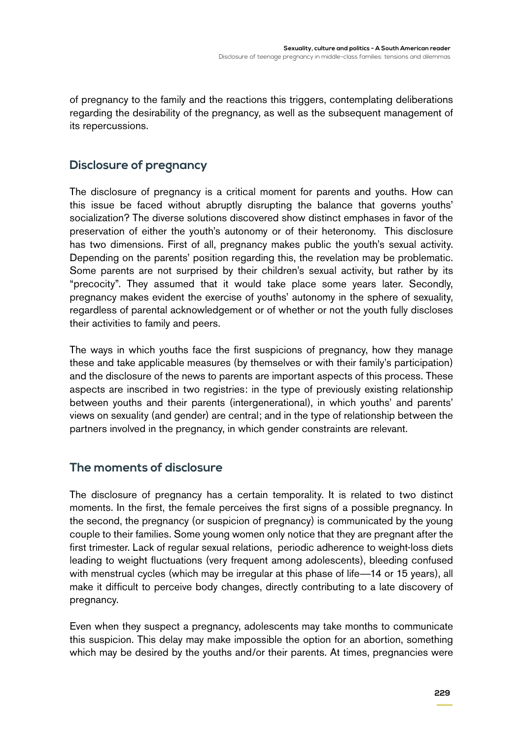of pregnancy to the family and the reactions this triggers, contemplating deliberations regarding the desirability of the pregnancy, as well as the subsequent management of its repercussions.

### **Disclosure of pregnancy**

The disclosure of pregnancy is a critical moment for parents and youths. How can this issue be faced without abruptly disrupting the balance that governs youths' socialization? The diverse solutions discovered show distinct emphases in favor of the preservation of either the youth's autonomy or of their heteronomy. This disclosure has two dimensions. First of all, pregnancy makes public the youth's sexual activity. Depending on the parents' position regarding this, the revelation may be problematic. Some parents are not surprised by their children's sexual activity, but rather by its "precocity". They assumed that it would take place some years later. Secondly, pregnancy makes evident the exercise of youths' autonomy in the sphere of sexuality, regardless of parental acknowledgement or of whether or not the youth fully discloses their activities to family and peers.

The ways in which youths face the first suspicions of pregnancy, how they manage these and take applicable measures (by themselves or with their family's participation) and the disclosure of the news to parents are important aspects of this process. These aspects are inscribed in two registries: in the type of previously existing relationship between youths and their parents (intergenerational), in which youths' and parents' views on sexuality (and gender) are central; and in the type of relationship between the partners involved in the pregnancy, in which gender constraints are relevant.

#### **The moments of disclosure**

The disclosure of pregnancy has a certain temporality. It is related to two distinct moments. In the first, the female perceives the first signs of a possible pregnancy. In the second, the pregnancy (or suspicion of pregnancy) is communicated by the young couple to their families. Some young women only notice that they are pregnant after the first trimester. Lack of regular sexual relations, periodic adherence to weight-loss diets leading to weight fluctuations (very frequent among adolescents), bleeding confused with menstrual cycles (which may be irregular at this phase of life—14 or 15 years), all make it difficult to perceive body changes, directly contributing to a late discovery of pregnancy.

Even when they suspect a pregnancy, adolescents may take months to communicate this suspicion. This delay may make impossible the option for an abortion, something which may be desired by the youths and/or their parents. At times, pregnancies were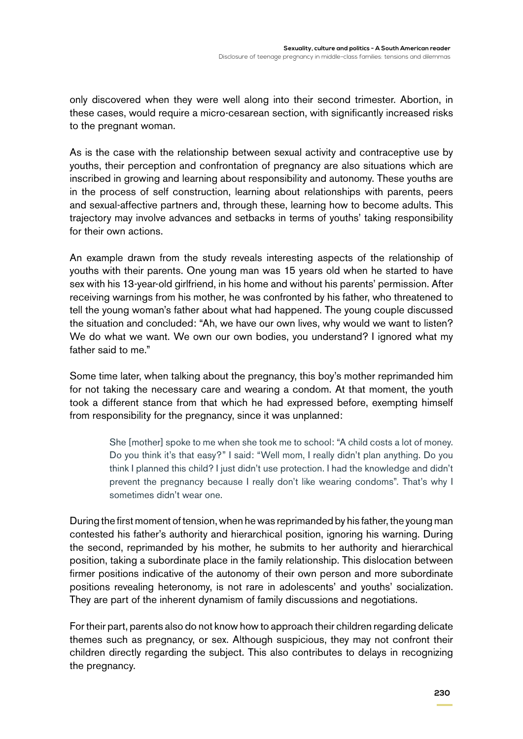only discovered when they were well along into their second trimester. Abortion, in these cases, would require a micro-cesarean section, with significantly increased risks to the pregnant woman.

As is the case with the relationship between sexual activity and contraceptive use by youths, their perception and confrontation of pregnancy are also situations which are inscribed in growing and learning about responsibility and autonomy. These youths are in the process of self construction, learning about relationships with parents, peers and sexual-affective partners and, through these, learning how to become adults. This trajectory may involve advances and setbacks in terms of youths' taking responsibility for their own actions.

An example drawn from the study reveals interesting aspects of the relationship of youths with their parents. One young man was 15 years old when he started to have sex with his 13-year-old girlfriend, in his home and without his parents' permission. After receiving warnings from his mother, he was confronted by his father, who threatened to tell the young woman's father about what had happened. The young couple discussed the situation and concluded: "Ah, we have our own lives, why would we want to listen? We do what we want. We own our own bodies, you understand? I ignored what my father said to me."

Some time later, when talking about the pregnancy, this boy's mother reprimanded him for not taking the necessary care and wearing a condom. At that moment, the youth took a different stance from that which he had expressed before, exempting himself from responsibility for the pregnancy, since it was unplanned:

> She [mother] spoke to me when she took me to school: "A child costs a lot of money. Do you think it's that easy?" I said: "Well mom, I really didn't plan anything. Do you think I planned this child? I just didn't use protection. I had the knowledge and didn't prevent the pregnancy because I really don't like wearing condoms". That's why I sometimes didn't wear one.

During the first moment of tension, when he was reprimanded by his father, the young man contested his father's authority and hierarchical position, ignoring his warning. During the second, reprimanded by his mother, he submits to her authority and hierarchical position, taking a subordinate place in the family relationship. This dislocation between firmer positions indicative of the autonomy of their own person and more subordinate positions revealing heteronomy, is not rare in adolescents' and youths' socialization. They are part of the inherent dynamism of family discussions and negotiations.

For their part, parents also do not know how to approach their children regarding delicate themes such as pregnancy, or sex. Although suspicious, they may not confront their children directly regarding the subject. This also contributes to delays in recognizing the pregnancy.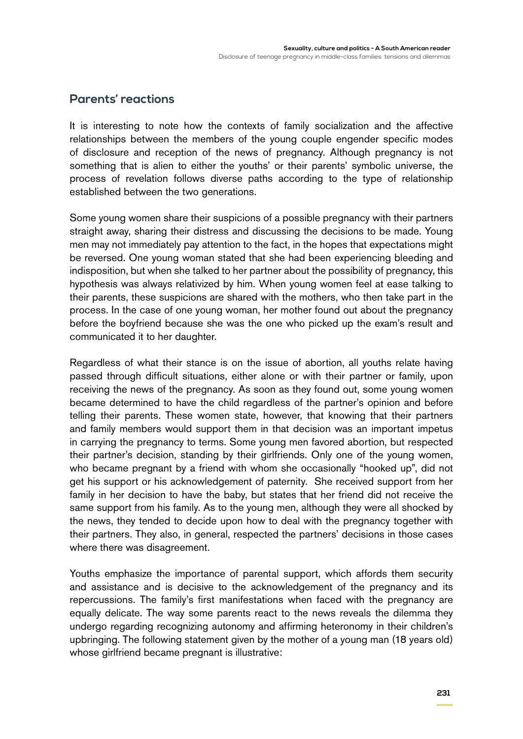#### **Parents' reactions**

It is interesting to note how the contexts of family socialization and the affective relationships between the members of the young couple engender specific modes of disclosure and reception of the news of pregnancy. Although pregnancy is not something that is alien to either the youths' or their parents' symbolic universe, the process of revelation follows diverse paths according to the type of relationship established between the two generations.

Some young women share their suspicions of a possible pregnancy with their partners straight away, sharing their distress and discussing the decisions to be made. Young men may not immediately pay attention to the fact, in the hopes that expectations might be reversed. One young woman stated that she had been experiencing bleeding and indisposition, but when she talked to her partner about the possibility of pregnancy, this hypothesis was always relativized by him. When young women feel at ease talking to their parents, these suspicions are shared with the mothers, who then take part in the process. In the case of one young woman, her mother found out about the pregnancy before the boyfriend because she was the one who picked up the exam's result and communicated it to her daughter.

Regardless of what their stance is on the issue of abortion, all youths relate having passed through difficult situations, either alone or with their partner or family, upon receiving the news of the pregnancy. As soon as they found out, some young women became determined to have the child regardless of the partner's opinion and before telling their parents. These women state, however, that knowing that their partners and family members would support them in that decision was an important impetus in carrying the pregnancy to terms. Some young men favored abortion, but respected their partner's decision, standing by their girlfriends. Only one of the young women, who became pregnant by a friend with whom she occasionally "hooked up", did not get his support or his acknowledgement of paternity. She received support from her family in her decision to have the baby, but states that her friend did not receive the same support from his family. As to the young men, although they were all shocked by the news, they tended to decide upon how to deal with the pregnancy together with their partners. They also, in general, respected the partners' decisions in those cases where there was disagreement.

Youths emphasize the importance of parental support, which affords them security and assistance and is decisive to the acknowledgement of the pregnancy and its repercussions. The family's first manifestations when faced with the pregnancy are equally delicate. The way some parents react to the news reveals the dilemma they undergo regarding recognizing autonomy and affirming heteronomy in their children's upbringing. The following statement given by the mother of a young man (18 years old) whose girlfriend became pregnant is illustrative: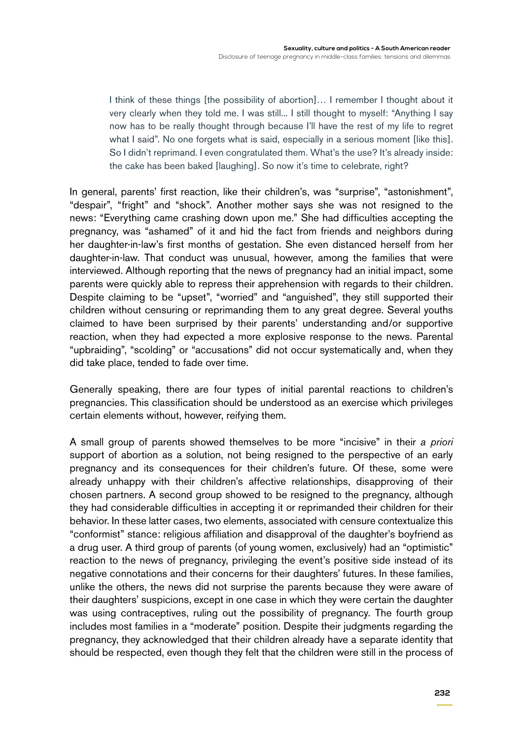I think of these things [the possibility of abortion]... I remember I thought about it very clearly when they told me. I was still... I still thought to myself: "Anything I say now has to be really thought through because I'll have the rest of my life to regret what I said". No one forgets what is said, especially in a serious moment [like this]. So I didn't reprimand. I even congratulated them. What's the use? It's already inside: the cake has been baked [laughing]. So now it's time to celebrate, right?

In general, parents' first reaction, like their children's, was "surprise", "astonishment", "despair", "fright" and "shock". Another mother says she was not resigned to the news: "Everything came crashing down upon me." She had difficulties accepting the pregnancy, was "ashamed" of it and hid the fact from friends and neighbors during her daughter-in-law's first months of gestation. She even distanced herself from her daughter-in-law. That conduct was unusual, however, among the families that were interviewed. Although reporting that the news of pregnancy had an initial impact, some parents were quickly able to repress their apprehension with regards to their children. Despite claiming to be "upset", "worried" and "anguished", they still supported their children without censuring or reprimanding them to any great degree. Several youths claimed to have been surprised by their parents' understanding and/or supportive reaction, when they had expected a more explosive response to the news. Parental "upbraiding", "scolding" or "accusations" did not occur systematically and, when they did take place, tended to fade over time.

Generally speaking, there are four types of initial parental reactions to children's pregnancies. This classification should be understood as an exercise which privileges certain elements without, however, reifying them.

A small group of parents showed themselves to be more "incisive" in their *a priori* support of abortion as a solution, not being resigned to the perspective of an early pregnancy and its consequences for their children's future. Of these, some were already unhappy with their children's affective relationships, disapproving of their chosen partners. A second group showed to be resigned to the pregnancy, although they had considerable difficulties in accepting it or reprimanded their children for their behavior. In these latter cases, two elements, associated with censure contextualize this "conformist" stance: religious affiliation and disapproval of the daughter's boyfriend as a drug user. A third group of parents (of young women, exclusively) had an "optimistic" reaction to the news of pregnancy, privileging the event's positive side instead of its negative connotations and their concerns for their daughters' futures. In these families, unlike the others, the news did not surprise the parents because they were aware of their daughters' suspicions, except in one case in which they were certain the daughter was using contraceptives, ruling out the possibility of pregnancy. The fourth group includes most families in a "moderate" position. Despite their judgments regarding the pregnancy, they acknowledged that their children already have a separate identity that should be respected, even though they felt that the children were still in the process of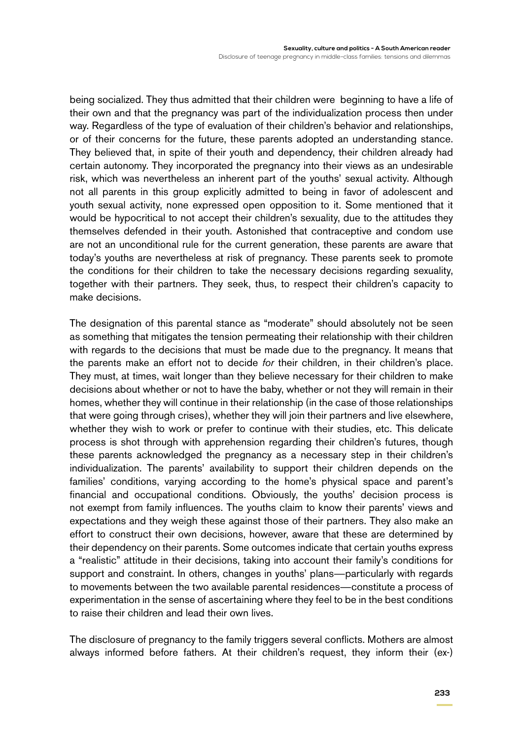being socialized. They thus admitted that their children were beginning to have a life of their own and that the pregnancy was part of the individualization process then under way. Regardless of the type of evaluation of their children's behavior and relationships, or of their concerns for the future, these parents adopted an understanding stance. They believed that, in spite of their youth and dependency, their children already had certain autonomy. They incorporated the pregnancy into their views as an undesirable risk, which was nevertheless an inherent part of the youths' sexual activity. Although not all parents in this group explicitly admitted to being in favor of adolescent and youth sexual activity, none expressed open opposition to it. Some mentioned that it would be hypocritical to not accept their children's sexuality, due to the attitudes they themselves defended in their youth. Astonished that contraceptive and condom use are not an unconditional rule for the current generation, these parents are aware that today's youths are nevertheless at risk of pregnancy. These parents seek to promote the conditions for their children to take the necessary decisions regarding sexuality, together with their partners. They seek, thus, to respect their children's capacity to make decisions.

The designation of this parental stance as "moderate" should absolutely not be seen as something that mitigates the tension permeating their relationship with their children with regards to the decisions that must be made due to the pregnancy. It means that the parents make an effort not to decide *for* their children, in their children's place. They must, at times, wait longer than they believe necessary for their children to make decisions about whether or not to have the baby, whether or not they will remain in their homes, whether they will continue in their relationship (in the case of those relationships that were going through crises), whether they will join their partners and live elsewhere, whether they wish to work or prefer to continue with their studies, etc. This delicate process is shot through with apprehension regarding their children's futures, though these parents acknowledged the pregnancy as a necessary step in their children's individualization. The parents' availability to support their children depends on the families' conditions, varying according to the home's physical space and parent's financial and occupational conditions. Obviously, the youths' decision process is not exempt from family influences. The youths claim to know their parents' views and expectations and they weigh these against those of their partners. They also make an effort to construct their own decisions, however, aware that these are determined by their dependency on their parents. Some outcomes indicate that certain youths express a "realistic" attitude in their decisions, taking into account their family's conditions for support and constraint. In others, changes in youths' plans—particularly with regards to movements between the two available parental residences—constitute a process of experimentation in the sense of ascertaining where they feel to be in the best conditions to raise their children and lead their own lives.

The disclosure of pregnancy to the family triggers several conflicts. Mothers are almost always informed before fathers. At their children's request, they inform their (ex-)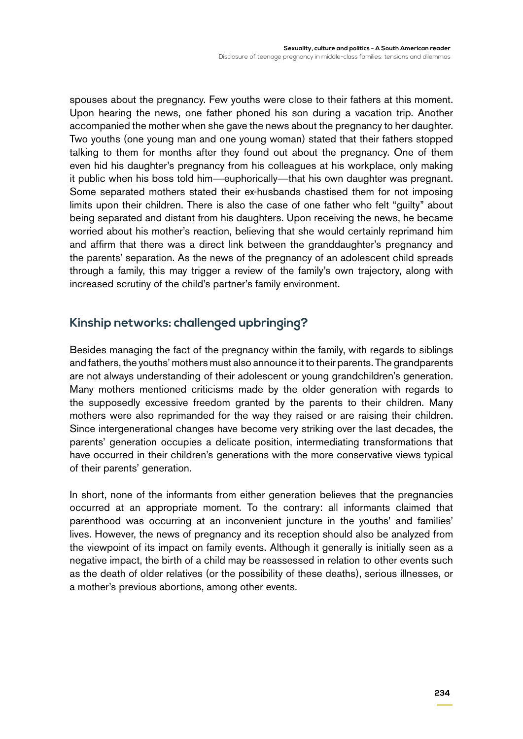spouses about the pregnancy. Few youths were close to their fathers at this moment. Upon hearing the news, one father phoned his son during a vacation trip. Another accompanied the mother when she gave the news about the pregnancy to her daughter. Two youths (one young man and one young woman) stated that their fathers stopped talking to them for months after they found out about the pregnancy. One of them even hid his daughter's pregnancy from his colleagues at his workplace, only making it public when his boss told him—euphorically—that his own daughter was pregnant. Some separated mothers stated their ex-husbands chastised them for not imposing limits upon their children. There is also the case of one father who felt "guilty" about being separated and distant from his daughters. Upon receiving the news, he became worried about his mother's reaction, believing that she would certainly reprimand him and affirm that there was a direct link between the granddaughter's pregnancy and the parents' separation. As the news of the pregnancy of an adolescent child spreads through a family, this may trigger a review of the family's own trajectory, along with increased scrutiny of the child's partner's family environment.

#### **Kinship networks: challenged upbringing?**

Besides managing the fact of the pregnancy within the family, with regards to siblings and fathers, the youths' mothers must also announce it to their parents. The grandparents are not always understanding of their adolescent or young grandchildren's generation. Many mothers mentioned criticisms made by the older generation with regards to the supposedly excessive freedom granted by the parents to their children. Many mothers were also reprimanded for the way they raised or are raising their children. Since intergenerational changes have become very striking over the last decades, the parents' generation occupies a delicate position, intermediating transformations that have occurred in their children's generations with the more conservative views typical of their parents' generation.

In short, none of the informants from either generation believes that the pregnancies occurred at an appropriate moment. To the contrary: all informants claimed that parenthood was occurring at an inconvenient juncture in the youths' and families' lives. However, the news of pregnancy and its reception should also be analyzed from the viewpoint of its impact on family events. Although it generally is initially seen as a negative impact, the birth of a child may be reassessed in relation to other events such as the death of older relatives (or the possibility of these deaths), serious illnesses, or a mother's previous abortions, among other events.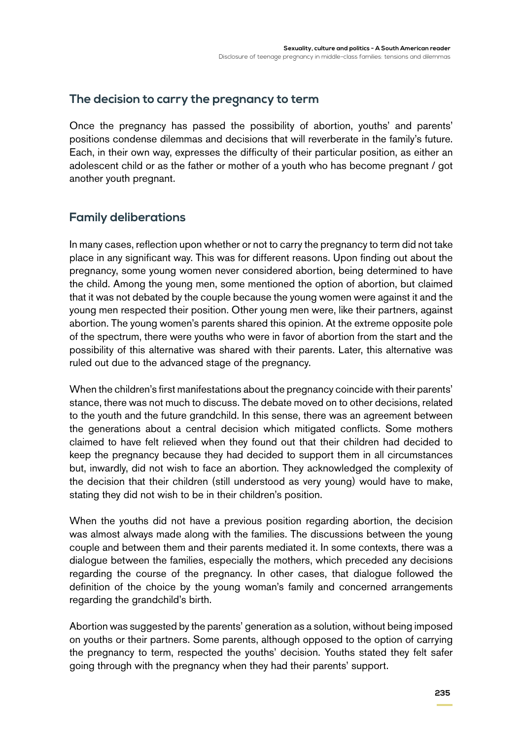#### **The decision to carry the pregnancy to term**

Once the pregnancy has passed the possibility of abortion, youths' and parents' positions condense dilemmas and decisions that will reverberate in the family's future. Each, in their own way, expresses the difficulty of their particular position, as either an adolescent child or as the father or mother of a youth who has become pregnant / got another youth pregnant.

#### **Family deliberations**

In many cases, reflection upon whether or not to carry the pregnancy to term did not take place in any significant way. This was for different reasons. Upon finding out about the pregnancy, some young women never considered abortion, being determined to have the child. Among the young men, some mentioned the option of abortion, but claimed that it was not debated by the couple because the young women were against it and the young men respected their position. Other young men were, like their partners, against abortion. The young women's parents shared this opinion. At the extreme opposite pole of the spectrum, there were youths who were in favor of abortion from the start and the possibility of this alternative was shared with their parents. Later, this alternative was ruled out due to the advanced stage of the pregnancy.

When the children's first manifestations about the pregnancy coincide with their parents' stance, there was not much to discuss. The debate moved on to other decisions, related to the youth and the future grandchild. In this sense, there was an agreement between the generations about a central decision which mitigated conflicts. Some mothers claimed to have felt relieved when they found out that their children had decided to keep the pregnancy because they had decided to support them in all circumstances but, inwardly, did not wish to face an abortion. They acknowledged the complexity of the decision that their children (still understood as very young) would have to make, stating they did not wish to be in their children's position.

When the youths did not have a previous position regarding abortion, the decision was almost always made along with the families. The discussions between the young couple and between them and their parents mediated it. In some contexts, there was a dialogue between the families, especially the mothers, which preceded any decisions regarding the course of the pregnancy. In other cases, that dialogue followed the definition of the choice by the young woman's family and concerned arrangements regarding the grandchild's birth.

Abortion was suggested by the parents' generation as a solution, without being imposed on youths or their partners. Some parents, although opposed to the option of carrying the pregnancy to term, respected the youths' decision. Youths stated they felt safer going through with the pregnancy when they had their parents' support.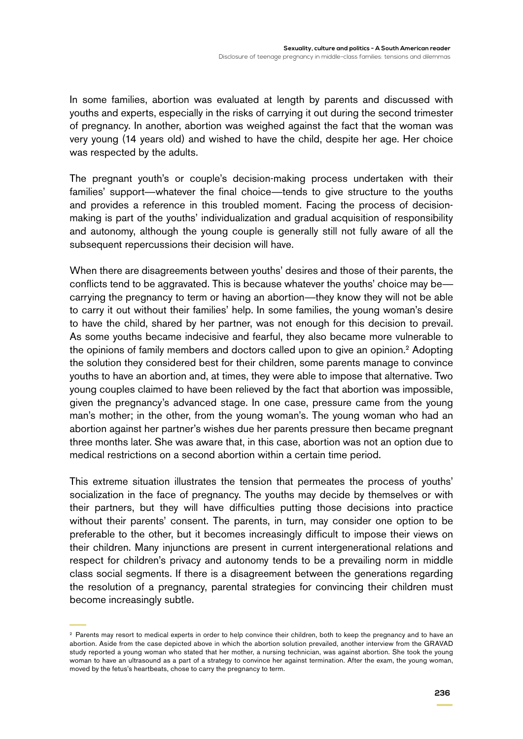In some families, abortion was evaluated at length by parents and discussed with youths and experts, especially in the risks of carrying it out during the second trimester of pregnancy. In another, abortion was weighed against the fact that the woman was very young (14 years old) and wished to have the child, despite her age. Her choice was respected by the adults.

The pregnant youth's or couple's decision-making process undertaken with their families' support—whatever the final choice—tends to give structure to the youths and provides a reference in this troubled moment. Facing the process of decisionmaking is part of the youths' individualization and gradual acquisition of responsibility and autonomy, although the young couple is generally still not fully aware of all the subsequent repercussions their decision will have.

When there are disagreements between youths' desires and those of their parents, the conflicts tend to be aggravated. This is because whatever the youths' choice may be carrying the pregnancy to term or having an abortion—they know they will not be able to carry it out without their families' help. In some families, the young woman's desire to have the child, shared by her partner, was not enough for this decision to prevail. As some youths became indecisive and fearful, they also became more vulnerable to the opinions of family members and doctors called upon to give an opinion.2 Adopting the solution they considered best for their children, some parents manage to convince youths to have an abortion and, at times, they were able to impose that alternative. Two young couples claimed to have been relieved by the fact that abortion was impossible, given the pregnancy's advanced stage. In one case, pressure came from the young man's mother; in the other, from the young woman's. The young woman who had an abortion against her partner's wishes due her parents pressure then became pregnant three months later. She was aware that, in this case, abortion was not an option due to medical restrictions on a second abortion within a certain time period.

This extreme situation illustrates the tension that permeates the process of youths' socialization in the face of pregnancy. The youths may decide by themselves or with their partners, but they will have difficulties putting those decisions into practice without their parents' consent. The parents, in turn, may consider one option to be preferable to the other, but it becomes increasingly difficult to impose their views on their children. Many injunctions are present in current intergenerational relations and respect for children's privacy and autonomy tends to be a prevailing norm in middle class social segments. If there is a disagreement between the generations regarding the resolution of a pregnancy, parental strategies for convincing their children must become increasingly subtle.

<sup>&</sup>lt;sup>2</sup> Parents may resort to medical experts in order to help convince their children, both to keep the pregnancy and to have an abortion. Aside from the case depicted above in which the abortion solution prevailed, another interview from the GRAVAD study reported a young woman who stated that her mother, a nursing technician, was against abortion. She took the young woman to have an ultrasound as a part of a strategy to convince her against termination. After the exam, the young woman, moved by the fetus's heartbeats, chose to carry the pregnancy to term.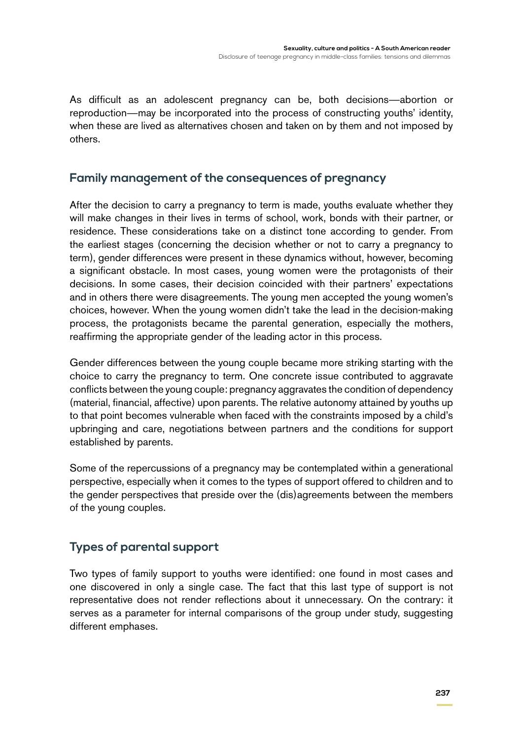As difficult as an adolescent pregnancy can be, both decisions—abortion or reproduction—may be incorporated into the process of constructing youths' identity, when these are lived as alternatives chosen and taken on by them and not imposed by others.

#### **Family management of the consequences of pregnancy**

After the decision to carry a pregnancy to term is made, youths evaluate whether they will make changes in their lives in terms of school, work, bonds with their partner, or residence. These considerations take on a distinct tone according to gender. From the earliest stages (concerning the decision whether or not to carry a pregnancy to term), gender differences were present in these dynamics without, however, becoming a significant obstacle. In most cases, young women were the protagonists of their decisions. In some cases, their decision coincided with their partners' expectations and in others there were disagreements. The young men accepted the young women's choices, however. When the young women didn't take the lead in the decision-making process, the protagonists became the parental generation, especially the mothers, reaffirming the appropriate gender of the leading actor in this process.

Gender differences between the young couple became more striking starting with the choice to carry the pregnancy to term. One concrete issue contributed to aggravate conflicts between the young couple: pregnancy aggravates the condition of dependency (material, financial, affective) upon parents. The relative autonomy attained by youths up to that point becomes vulnerable when faced with the constraints imposed by a child's upbringing and care, negotiations between partners and the conditions for support established by parents.

Some of the repercussions of a pregnancy may be contemplated within a generational perspective, especially when it comes to the types of support offered to children and to the gender perspectives that preside over the (dis)agreements between the members of the young couples.

#### **Types of parental support**

Two types of family support to youths were identified: one found in most cases and one discovered in only a single case. The fact that this last type of support is not representative does not render reflections about it unnecessary. On the contrary: it serves as a parameter for internal comparisons of the group under study, suggesting different emphases.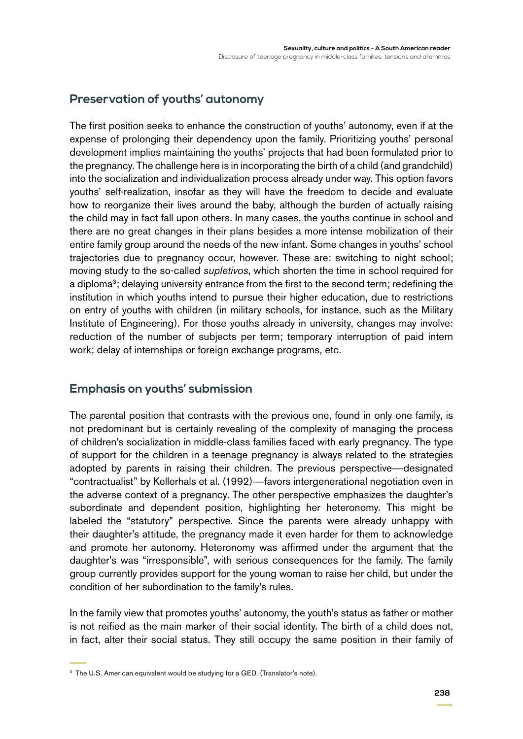## **Preservation of youths' autonomy**

The first position seeks to enhance the construction of youths' autonomy, even if at the expense of prolonging their dependency upon the family. Prioritizing youths' personal development implies maintaining the youths' projects that had been formulated prior to the pregnancy. The challenge here is in incorporating the birth of a child (and grandchild) into the socialization and individualization process already under way. This option favors youths' self-realization, insofar as they will have the freedom to decide and evaluate how to reorganize their lives around the baby, although the burden of actually raising the child may in fact fall upon others. In many cases, the youths continue in school and there are no great changes in their plans besides a more intense mobilization of their entire family group around the needs of the new infant. Some changes in youths' school trajectories due to pregnancy occur, however. These are: switching to night school; moving study to the so-called *supletivos*, which shorten the time in school required for a diploma<sup>3</sup>; delaying university entrance from the first to the second term; redefining the institution in which youths intend to pursue their higher education, due to restrictions on entry of youths with children (in military schools, for instance, such as the Military Institute of Engineering). For those youths already in university, changes may involve: reduction of the number of subjects per term; temporary interruption of paid intern work; delay of internships or foreign exchange programs, etc.

#### **Emphasis on youths' submission**

The parental position that contrasts with the previous one, found in only one family, is not predominant but is certainly revealing of the complexity of managing the process of children's socialization in middle-class families faced with early pregnancy. The type of support for the children in a teenage pregnancy is always related to the strategies adopted by parents in raising their children. The previous perspective—designated "contractualist" by Kellerhals et al. (1992)—favors intergenerational negotiation even in the adverse context of a pregnancy. The other perspective emphasizes the daughter's subordinate and dependent position, highlighting her heteronomy. This might be labeled the "statutory" perspective. Since the parents were already unhappy with their daughter's attitude, the pregnancy made it even harder for them to acknowledge and promote her autonomy. Heteronomy was affirmed under the argument that the daughter's was "irresponsible", with serious consequences for the family. The family group currently provides support for the young woman to raise her child, but under the condition of her subordination to the family's rules.

In the family view that promotes youths' autonomy, the youth's status as father or mother is not reified as the main marker of their social identity. The birth of a child does not, in fact, alter their social status. They still occupy the same position in their family of

<sup>&</sup>lt;sup>3</sup> The U.S. American equivalent would be studying for a GED. (Translator's note).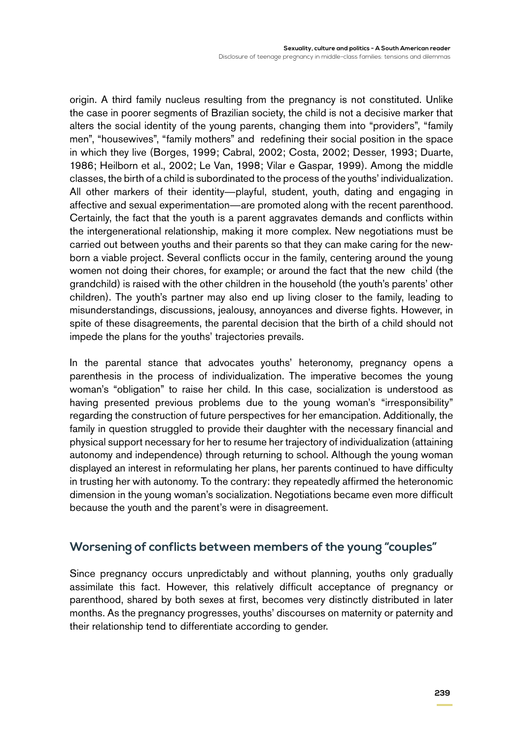origin. A third family nucleus resulting from the pregnancy is not constituted. Unlike the case in poorer segments of Brazilian society, the child is not a decisive marker that alters the social identity of the young parents, changing them into "providers", "family men", "housewives", "family mothers" and redefining their social position in the space in which they live (Borges, 1999; Cabral, 2002; Costa, 2002; Desser, 1993; Duarte, 1986; Heilborn et al., 2002; Le Van, 1998; Vilar e Gaspar, 1999). Among the middle classes, the birth of a child is subordinated to the process of the youths' individualization. All other markers of their identity—playful, student, youth, dating and engaging in affective and sexual experimentation—are promoted along with the recent parenthood. Certainly, the fact that the youth is a parent aggravates demands and conflicts within the intergenerational relationship, making it more complex. New negotiations must be carried out between youths and their parents so that they can make caring for the newborn a viable project. Several conflicts occur in the family, centering around the young women not doing their chores, for example; or around the fact that the new child (the grandchild) is raised with the other children in the household (the youth's parents' other children). The youth's partner may also end up living closer to the family, leading to misunderstandings, discussions, jealousy, annoyances and diverse fights. However, in spite of these disagreements, the parental decision that the birth of a child should not impede the plans for the youths' trajectories prevails.

In the parental stance that advocates youths' heteronomy, pregnancy opens a parenthesis in the process of individualization. The imperative becomes the young woman's "obligation" to raise her child. In this case, socialization is understood as having presented previous problems due to the young woman's "irresponsibility" regarding the construction of future perspectives for her emancipation. Additionally, the family in question struggled to provide their daughter with the necessary financial and physical support necessary for her to resume her trajectory of individualization (attaining autonomy and independence) through returning to school. Although the young woman displayed an interest in reformulating her plans, her parents continued to have difficulty in trusting her with autonomy. To the contrary: they repeatedly affirmed the heteronomic dimension in the young woman's socialization. Negotiations became even more difficult because the youth and the parent's were in disagreement.

#### **Worsening of conflicts between members of the young "couples"**

Since pregnancy occurs unpredictably and without planning, youths only gradually assimilate this fact. However, this relatively difficult acceptance of pregnancy or parenthood, shared by both sexes at first, becomes very distinctly distributed in later months. As the pregnancy progresses, youths' discourses on maternity or paternity and their relationship tend to differentiate according to gender.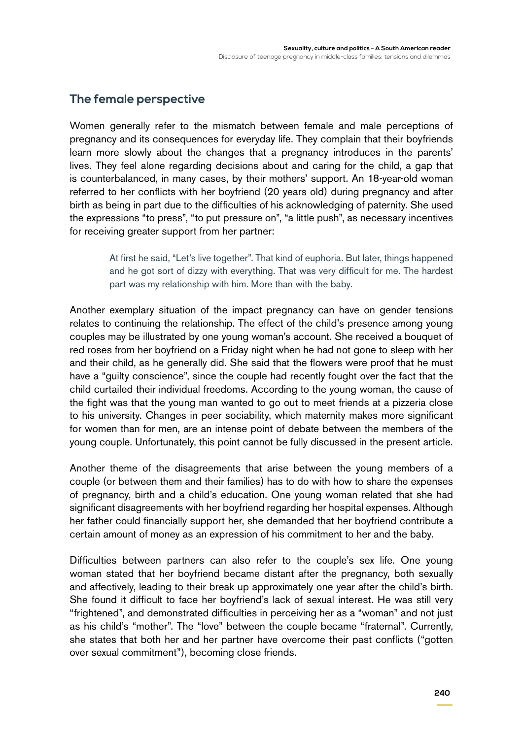#### **The female perspective**

Women generally refer to the mismatch between female and male perceptions of pregnancy and its consequences for everyday life. They complain that their boyfriends learn more slowly about the changes that a pregnancy introduces in the parents' lives. They feel alone regarding decisions about and caring for the child, a gap that is counterbalanced, in many cases, by their mothers' support. An 18-year-old woman referred to her conflicts with her boyfriend (20 years old) during pregnancy and after birth as being in part due to the difficulties of his acknowledging of paternity. She used the expressions "to press", "to put pressure on", "a little push", as necessary incentives for receiving greater support from her partner:

> At first he said, "Let's live together". That kind of euphoria. But later, things happened and he got sort of dizzy with everything. That was very difficult for me. The hardest part was my relationship with him. More than with the baby.

Another exemplary situation of the impact pregnancy can have on gender tensions relates to continuing the relationship. The effect of the child's presence among young couples may be illustrated by one young woman's account. She received a bouquet of red roses from her boyfriend on a Friday night when he had not gone to sleep with her and their child, as he generally did. She said that the flowers were proof that he must have a "guilty conscience", since the couple had recently fought over the fact that the child curtailed their individual freedoms. According to the young woman, the cause of the fight was that the young man wanted to go out to meet friends at a pizzeria close to his university. Changes in peer sociability, which maternity makes more significant for women than for men, are an intense point of debate between the members of the young couple. Unfortunately, this point cannot be fully discussed in the present article.

Another theme of the disagreements that arise between the young members of a couple (or between them and their families) has to do with how to share the expenses of pregnancy, birth and a child's education. One young woman related that she had significant disagreements with her boyfriend regarding her hospital expenses. Although her father could financially support her, she demanded that her boyfriend contribute a certain amount of money as an expression of his commitment to her and the baby.

Difficulties between partners can also refer to the couple's sex life. One young woman stated that her boyfriend became distant after the pregnancy, both sexually and affectively, leading to their break up approximately one year after the child's birth. She found it difficult to face her boyfriend's lack of sexual interest. He was still very "frightened", and demonstrated difficulties in perceiving her as a "woman" and not just as his child's "mother". The "love" between the couple became "fraternal". Currently, she states that both her and her partner have overcome their past conflicts ("gotten over sexual commitment"), becoming close friends.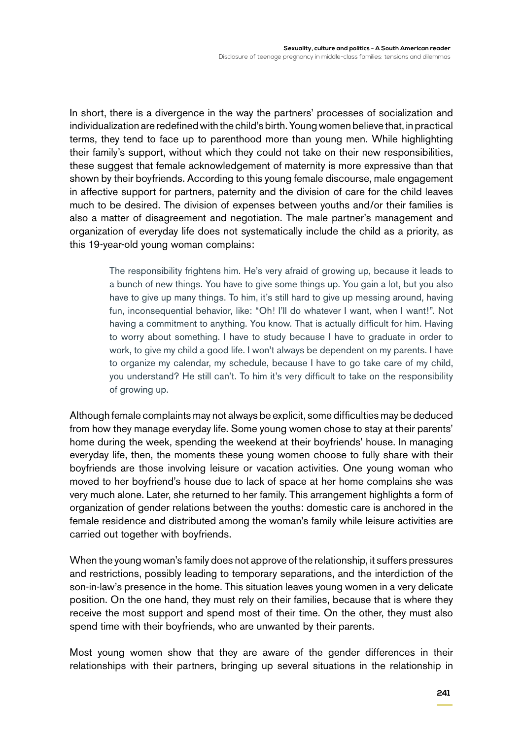In short, there is a divergence in the way the partners' processes of socialization and individualization are redefined with the child's birth. Young women believe that, in practical terms, they tend to face up to parenthood more than young men. While highlighting their family's support, without which they could not take on their new responsibilities, these suggest that female acknowledgement of maternity is more expressive than that shown by their boyfriends. According to this young female discourse, male engagement in affective support for partners, paternity and the division of care for the child leaves much to be desired. The division of expenses between youths and/or their families is also a matter of disagreement and negotiation. The male partner's management and organization of everyday life does not systematically include the child as a priority, as this 19-year-old young woman complains:

> The responsibility frightens him. He's very afraid of growing up, because it leads to a bunch of new things. You have to give some things up. You gain a lot, but you also have to give up many things. To him, it's still hard to give up messing around, having fun, inconsequential behavior, like: "Oh! I'll do whatever I want, when I want!". Not having a commitment to anything. You know. That is actually difficult for him. Having to worry about something. I have to study because I have to graduate in order to work, to give my child a good life. I won't always be dependent on my parents. I have to organize my calendar, my schedule, because I have to go take care of my child, you understand? He still can't. To him it's very difficult to take on the responsibility of growing up.

Although female complaints may not always be explicit, some difficulties may be deduced from how they manage everyday life. Some young women chose to stay at their parents' home during the week, spending the weekend at their boyfriends' house. In managing everyday life, then, the moments these young women choose to fully share with their boyfriends are those involving leisure or vacation activities. One young woman who moved to her boyfriend's house due to lack of space at her home complains she was very much alone. Later, she returned to her family. This arrangement highlights a form of organization of gender relations between the youths: domestic care is anchored in the female residence and distributed among the woman's family while leisure activities are carried out together with boyfriends.

When the young woman's family does not approve of the relationship, it suffers pressures and restrictions, possibly leading to temporary separations, and the interdiction of the son-in-law's presence in the home. This situation leaves young women in a very delicate position. On the one hand, they must rely on their families, because that is where they receive the most support and spend most of their time. On the other, they must also spend time with their boyfriends, who are unwanted by their parents.

Most young women show that they are aware of the gender differences in their relationships with their partners, bringing up several situations in the relationship in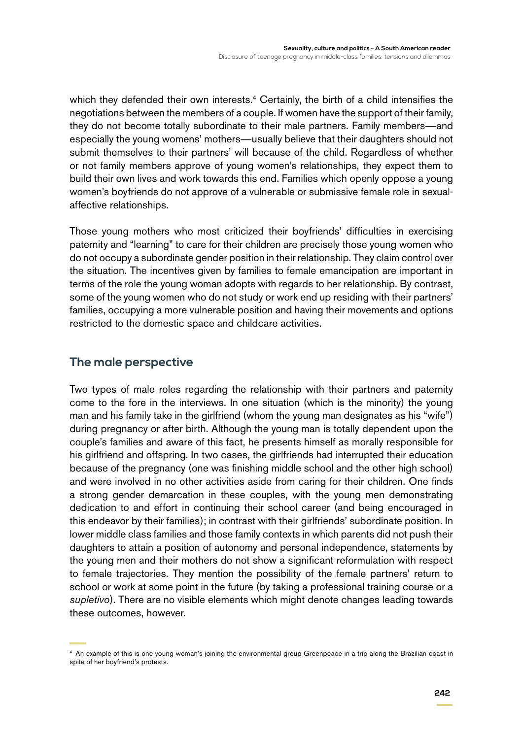which they defended their own interests.<sup>4</sup> Certainly, the birth of a child intensifies the negotiations between the members of a couple. If women have the support of their family, they do not become totally subordinate to their male partners. Family members—and especially the young womens' mothers—usually believe that their daughters should not submit themselves to their partners' will because of the child. Regardless of whether or not family members approve of young women's relationships, they expect them to build their own lives and work towards this end. Families which openly oppose a young women's boyfriends do not approve of a vulnerable or submissive female role in sexualaffective relationships.

Those young mothers who most criticized their boyfriends' difficulties in exercising paternity and "learning" to care for their children are precisely those young women who do not occupy a subordinate gender position in their relationship. They claim control over the situation. The incentives given by families to female emancipation are important in terms of the role the young woman adopts with regards to her relationship. By contrast, some of the young women who do not study or work end up residing with their partners' families, occupying a more vulnerable position and having their movements and options restricted to the domestic space and childcare activities.

#### **The male perspective**

Two types of male roles regarding the relationship with their partners and paternity come to the fore in the interviews. In one situation (which is the minority) the young man and his family take in the girlfriend (whom the young man designates as his "wife") during pregnancy or after birth. Although the young man is totally dependent upon the couple's families and aware of this fact, he presents himself as morally responsible for his girlfriend and offspring. In two cases, the girlfriends had interrupted their education because of the pregnancy (one was finishing middle school and the other high school) and were involved in no other activities aside from caring for their children. One finds a strong gender demarcation in these couples, with the young men demonstrating dedication to and effort in continuing their school career (and being encouraged in this endeavor by their families); in contrast with their girlfriends' subordinate position. In lower middle class families and those family contexts in which parents did not push their daughters to attain a position of autonomy and personal independence, statements by the young men and their mothers do not show a significant reformulation with respect to female trajectories. They mention the possibility of the female partners' return to school or work at some point in the future (by taking a professional training course or a *supletivo*). There are no visible elements which might denote changes leading towards these outcomes, however.

<sup>&</sup>lt;sup>4</sup> An example of this is one young woman's joining the environmental group Greenpeace in a trip along the Brazilian coast in spite of her boyfriend's protests.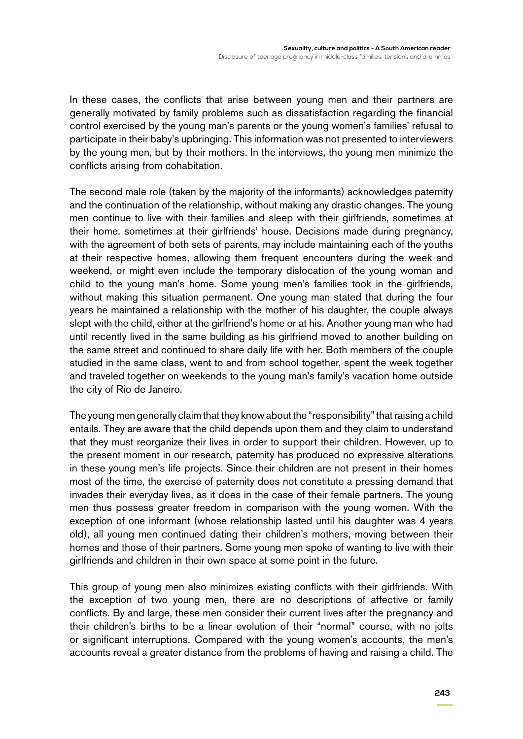In these cases, the conflicts that arise between young men and their partners are generally motivated by family problems such as dissatisfaction regarding the financial control exercised by the young man's parents or the young women's families' refusal to participate in their baby's upbringing. This information was not presented to interviewers by the young men, but by their mothers. In the interviews, the young men minimize the conflicts arising from cohabitation.

The second male role (taken by the majority of the informants) acknowledges paternity and the continuation of the relationship, without making any drastic changes. The young men continue to live with their families and sleep with their girlfriends, sometimes at their home, sometimes at their girlfriends' house. Decisions made during pregnancy, with the agreement of both sets of parents, may include maintaining each of the youths at their respective homes, allowing them frequent encounters during the week and weekend, or might even include the temporary dislocation of the young woman and child to the young man's home. Some young men's families took in the girlfriends, without making this situation permanent. One young man stated that during the four years he maintained a relationship with the mother of his daughter, the couple always slept with the child, either at the girlfriend's home or at his. Another young man who had until recently lived in the same building as his girlfriend moved to another building on the same street and continued to share daily life with her. Both members of the couple studied in the same class, went to and from school together, spent the week together and traveled together on weekends to the young man's family's vacation home outside the city of Rio de Janeiro.

The young men generally claim that they know about the "responsibility" that raising a child entails. They are aware that the child depends upon them and they claim to understand that they must reorganize their lives in order to support their children. However, up to the present moment in our research, paternity has produced no expressive alterations in these young men's life projects. Since their children are not present in their homes most of the time, the exercise of paternity does not constitute a pressing demand that invades their everyday lives, as it does in the case of their female partners. The young men thus possess greater freedom in comparison with the young women. With the exception of one informant (whose relationship lasted until his daughter was 4 years old), all young men continued dating their children's mothers, moving between their homes and those of their partners. Some young men spoke of wanting to live with their girlfriends and children in their own space at some point in the future.

This group of young men also minimizes existing conflicts with their girlfriends. With the exception of two young men, there are no descriptions of affective or family conflicts. By and large, these men consider their current lives after the pregnancy and their children's births to be a linear evolution of their "normal" course, with no jolts or significant interruptions. Compared with the young women's accounts, the men's accounts reveal a greater distance from the problems of having and raising a child. The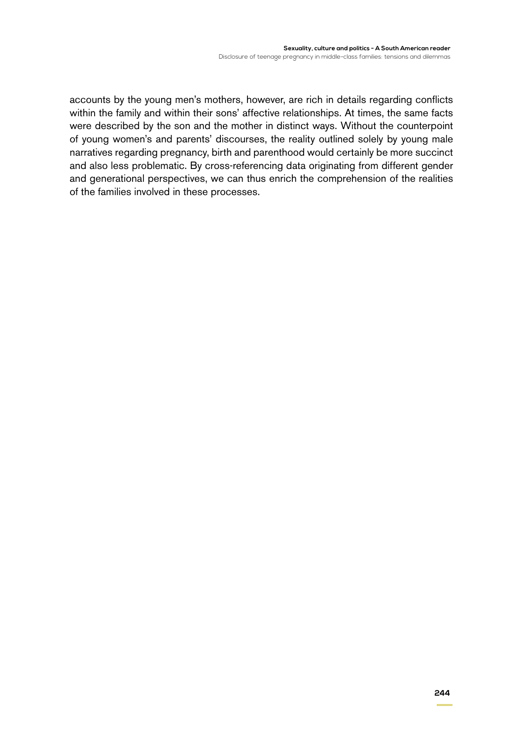accounts by the young men's mothers, however, are rich in details regarding conflicts within the family and within their sons' affective relationships. At times, the same facts were described by the son and the mother in distinct ways. Without the counterpoint of young women's and parents' discourses, the reality outlined solely by young male narratives regarding pregnancy, birth and parenthood would certainly be more succinct and also less problematic. By cross-referencing data originating from different gender and generational perspectives, we can thus enrich the comprehension of the realities of the families involved in these processes.